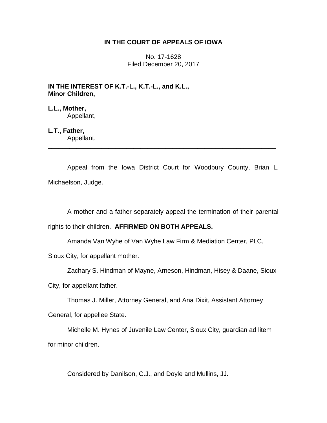# **IN THE COURT OF APPEALS OF IOWA**

No. 17-1628 Filed December 20, 2017

# **IN THE INTEREST OF K.T.-L., K.T.-L., and K.L., Minor Children,**

# **L.L., Mother,**

Appellant,

# **L.T., Father,**

Appellant. \_\_\_\_\_\_\_\_\_\_\_\_\_\_\_\_\_\_\_\_\_\_\_\_\_\_\_\_\_\_\_\_\_\_\_\_\_\_\_\_\_\_\_\_\_\_\_\_\_\_\_\_\_\_\_\_\_\_\_\_\_\_\_\_

Appeal from the Iowa District Court for Woodbury County, Brian L. Michaelson, Judge.

A mother and a father separately appeal the termination of their parental

rights to their children. **AFFIRMED ON BOTH APPEALS.**

Amanda Van Wyhe of Van Wyhe Law Firm & Mediation Center, PLC,

Sioux City, for appellant mother.

Zachary S. Hindman of Mayne, Arneson, Hindman, Hisey & Daane, Sioux City, for appellant father.

Thomas J. Miller, Attorney General, and Ana Dixit, Assistant Attorney

General, for appellee State.

Michelle M. Hynes of Juvenile Law Center, Sioux City, guardian ad litem for minor children.

Considered by Danilson, C.J., and Doyle and Mullins, JJ.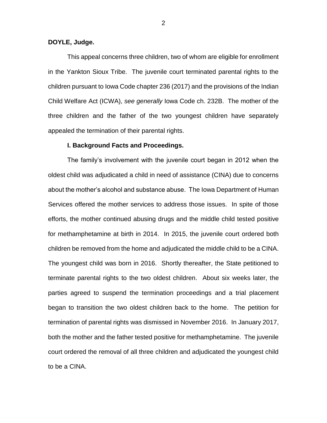## **DOYLE, Judge.**

This appeal concerns three children, two of whom are eligible for enrollment in the Yankton Sioux Tribe. The juvenile court terminated parental rights to the children pursuant to Iowa Code chapter 236 (2017) and the provisions of the Indian Child Welfare Act (ICWA), *see generally* Iowa Code ch. 232B. The mother of the three children and the father of the two youngest children have separately appealed the termination of their parental rights.

### **I. Background Facts and Proceedings.**

The family's involvement with the juvenile court began in 2012 when the oldest child was adjudicated a child in need of assistance (CINA) due to concerns about the mother's alcohol and substance abuse. The Iowa Department of Human Services offered the mother services to address those issues. In spite of those efforts, the mother continued abusing drugs and the middle child tested positive for methamphetamine at birth in 2014. In 2015, the juvenile court ordered both children be removed from the home and adjudicated the middle child to be a CINA. The youngest child was born in 2016. Shortly thereafter, the State petitioned to terminate parental rights to the two oldest children. About six weeks later, the parties agreed to suspend the termination proceedings and a trial placement began to transition the two oldest children back to the home. The petition for termination of parental rights was dismissed in November 2016. In January 2017, both the mother and the father tested positive for methamphetamine. The juvenile court ordered the removal of all three children and adjudicated the youngest child to be a CINA.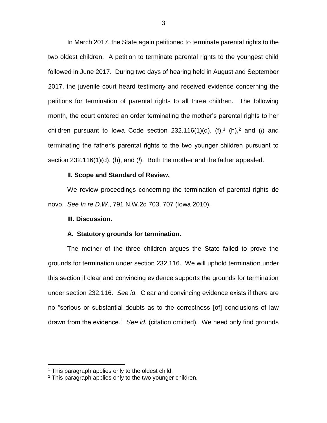In March 2017, the State again petitioned to terminate parental rights to the two oldest children. A petition to terminate parental rights to the youngest child followed in June 2017. During two days of hearing held in August and September 2017, the juvenile court heard testimony and received evidence concerning the petitions for termination of parental rights to all three children. The following month, the court entered an order terminating the mother's parental rights to her children pursuant to lowa Code section  $232.116(1)(d)$ ,  $(f)$ ,<sup>1</sup>  $(h)$ ,<sup>2</sup> and  $(h)$  and terminating the father's parental rights to the two younger children pursuant to section 232.116(1)(d), (h), and (*l*). Both the mother and the father appealed.

#### **II. Scope and Standard of Review.**

We review proceedings concerning the termination of parental rights de novo. *See In re D.W.*, 791 N.W.2d 703, 707 (Iowa 2010).

### **III. Discussion.**

## **A. Statutory grounds for termination.**

The mother of the three children argues the State failed to prove the grounds for termination under section 232.116. We will uphold termination under this section if clear and convincing evidence supports the grounds for termination under section 232.116. *See id.* Clear and convincing evidence exists if there are no "serious or substantial doubts as to the correctness [of] conclusions of law drawn from the evidence." *See id.* (citation omitted). We need only find grounds

 $\overline{a}$ 

 $1$  This paragraph applies only to the oldest child.

 $2$  This paragraph applies only to the two younger children.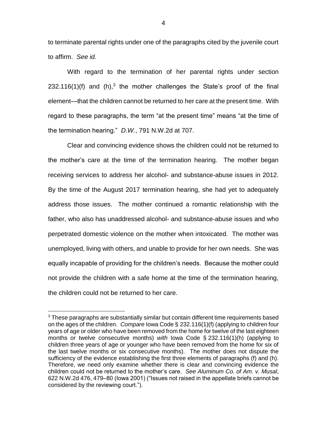to terminate parental rights under one of the paragraphs cited by the juvenile court to affirm. *See id.* 

With regard to the termination of her parental rights under section 232.116(1)(f) and (h),<sup>3</sup> the mother challenges the State's proof of the final element—that the children cannot be returned to her care at the present time. With regard to these paragraphs, the term "at the present time" means "at the time of the termination hearing." *D.W.*, 791 N.W.2d at 707.

Clear and convincing evidence shows the children could not be returned to the mother's care at the time of the termination hearing. The mother began receiving services to address her alcohol- and substance-abuse issues in 2012. By the time of the August 2017 termination hearing, she had yet to adequately address those issues. The mother continued a romantic relationship with the father, who also has unaddressed alcohol- and substance-abuse issues and who perpetrated domestic violence on the mother when intoxicated. The mother was unemployed, living with others, and unable to provide for her own needs. She was equally incapable of providing for the children's needs. Because the mother could not provide the children with a safe home at the time of the termination hearing, the children could not be returned to her care.

 $\overline{a}$ 

 $3$  These paragraphs are substantially similar but contain different time requirements based on the ages of the children. *Compare* Iowa Code § 232.116(1)(f) (applying to children four years of age or older who have been removed from the home for twelve of the last eighteen months or twelve consecutive months) *with* Iowa Code § 232.116(1)(h) (applying to children three years of age or younger who have been removed from the home for six of the last twelve months or six consecutive months). The mother does not dispute the sufficiency of the evidence establishing the first three elements of paragraphs (f) and (h). Therefore, we need only examine whether there is clear and convincing evidence the children could not be returned to the mother's care. *See Aluminum Co. of Am. v. Musal*, 622 N.W.2d 476, 479–80 (Iowa 2001) ("Issues not raised in the appellate briefs cannot be considered by the reviewing court.").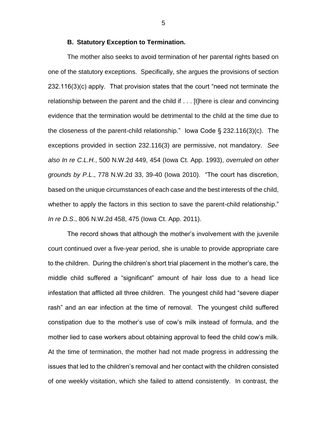#### **B. Statutory Exception to Termination.**

The mother also seeks to avoid termination of her parental rights based on one of the statutory exceptions. Specifically, she argues the provisions of section 232.116(3)(c) apply. That provision states that the court "need not terminate the relationship between the parent and the child if . . . [t]here is clear and convincing evidence that the termination would be detrimental to the child at the time due to the closeness of the parent-child relationship." Iowa Code § 232.116(3)(c). The exceptions provided in section 232.116(3) are permissive, not mandatory. *See also In re C.L.H.*, 500 N.W.2d 449, 454 (Iowa Ct. App. 1993), *overruled on other grounds by P.L*., 778 N.W.2d 33, 39-40 (Iowa 2010). "The court has discretion, based on the unique circumstances of each case and the best interests of the child, whether to apply the factors in this section to save the parent-child relationship." *In re D.S*., 806 N.W.2d 458, 475 (Iowa Ct. App. 2011).

The record shows that although the mother's involvement with the juvenile court continued over a five-year period, she is unable to provide appropriate care to the children. During the children's short trial placement in the mother's care, the middle child suffered a "significant" amount of hair loss due to a head lice infestation that afflicted all three children. The youngest child had "severe diaper rash" and an ear infection at the time of removal. The youngest child suffered constipation due to the mother's use of cow's milk instead of formula, and the mother lied to case workers about obtaining approval to feed the child cow's milk. At the time of termination, the mother had not made progress in addressing the issues that led to the children's removal and her contact with the children consisted of one weekly visitation, which she failed to attend consistently. In contrast, the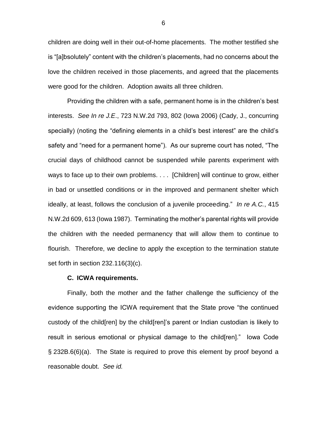children are doing well in their out-of-home placements. The mother testified she is "[a]bsolutely" content with the children's placements, had no concerns about the love the children received in those placements, and agreed that the placements were good for the children. Adoption awaits all three children.

Providing the children with a safe, permanent home is in the children's best interests. *See In re J.E*., 723 N.W.2d 793, 802 (Iowa 2006) (Cady, J., concurring specially) (noting the "defining elements in a child's best interest" are the child's safety and "need for a permanent home"). As our supreme court has noted, "The crucial days of childhood cannot be suspended while parents experiment with ways to face up to their own problems. . . . [Children] will continue to grow, either in bad or unsettled conditions or in the improved and permanent shelter which ideally, at least, follows the conclusion of a juvenile proceeding." *In re A.C.*, 415 N.W.2d 609, 613 (Iowa 1987).Terminating the mother's parental rights will provide the children with the needed permanency that will allow them to continue to flourish. Therefore, we decline to apply the exception to the termination statute set forth in section 232.116(3)(c).

### **C. ICWA requirements.**

Finally, both the mother and the father challenge the sufficiency of the evidence supporting the ICWA requirement that the State prove "the continued custody of the child[ren] by the child[ren]'s parent or Indian custodian is likely to result in serious emotional or physical damage to the child[ren]." Iowa Code § 232B.6(6)(a). The State is required to prove this element by proof beyond a reasonable doubt. *See id.*